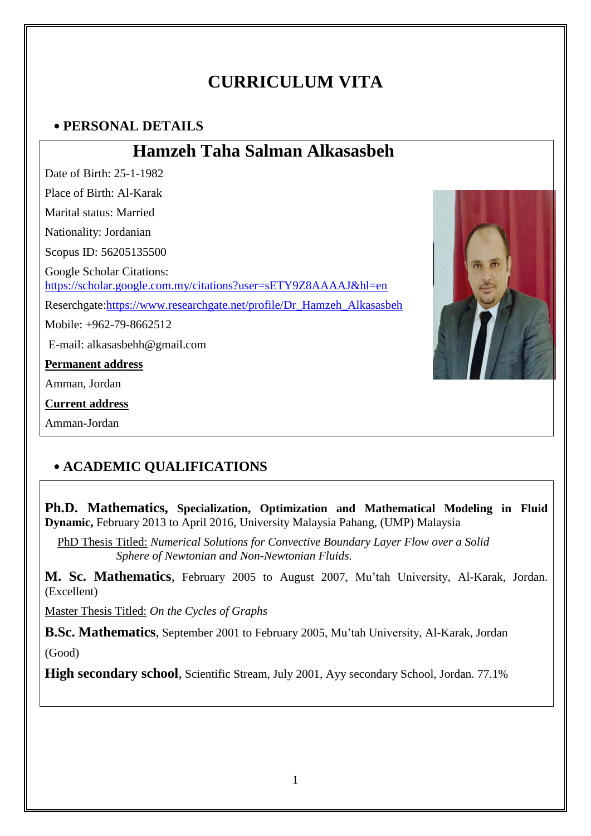# **CURRICULUM VITA**

# **PERSONAL DETAILS**

# **Hamzeh Taha Salman Alkasasbeh**

Date of Birth: 25-1-1982 Place of Birth: Al-Karak Marital status: Married Nationality: Jordanian Scopus ID: 56205135500 Google Scholar Citations: <https://scholar.google.com.my/citations?user=sETY9Z8AAAAJ&hl=en> Reserchgate[:https://www.researchgate.net/profile/Dr\\_Hamzeh\\_Alkasasbeh](https://www.researchgate.net/profile/Dr_Hamzeh_Alkasasbeh) Mobile: +962-79-8662512 E-mail: alkasasbehh@gmail.com **Permanent address** Amman, Jordan **Current address** Amman-Jordan



# **ACADEMIC QUALIFICATIONS**

**Ph.D. Mathematics, Specialization, Optimization and Mathematical Modeling in Fluid Dynamic,** February 2013 to April 2016, University Malaysia Pahang, (UMP) Malaysia

PhD Thesis Titled: *Numerical Solutions for Convective Boundary Layer Flow over a Solid Sphere of Newtonian and Non-Newtonian Fluids.* 

**M. Sc. Mathematics**, February 2005 to August 2007, Mu'tah University, Al-Karak, Jordan. (Excellent)

Master Thesis Titled: *On the Cycles of Graphs*

**B.Sc. Mathematics**, September 2001 to February 2005, Mu'tah University, Al-Karak, Jordan (Good)

**High secondary school**, Scientific Stream, July 2001, Ayy secondary School, Jordan. 77.1%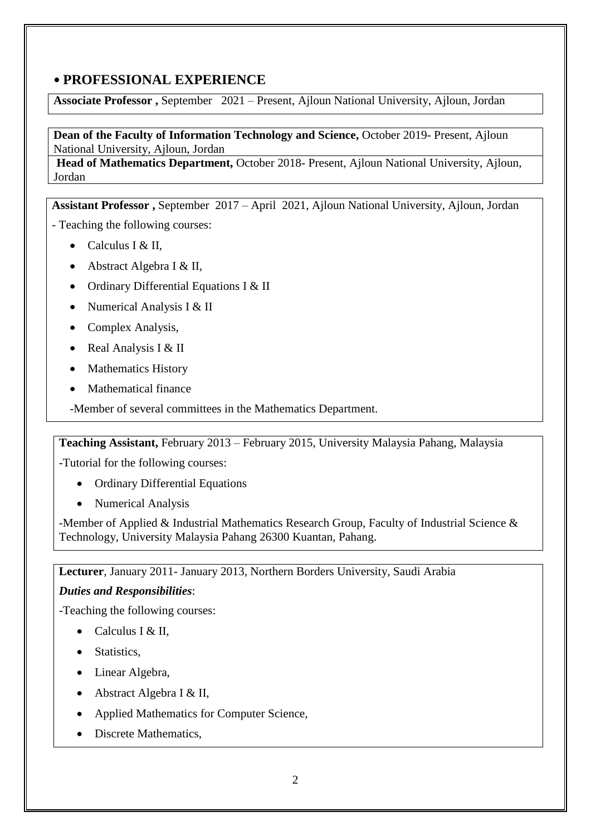### **PROFESSIONAL EXPERIENCE**

**Associate Professor ,** September 2021 – Present, Ajloun National University, Ajloun, Jordan

**Dean of the Faculty of Information Technology and Science,** October 2019- Present, Ajloun National University, Ajloun, Jordan

**Head of Mathematics Department,** October 2018- Present, Ajloun National University, Ajloun, Jordan

**Assistant Professor ,** September 2017 – April 2021, Ajloun National University, Ajloun, Jordan

- Teaching the following courses:

- Calculus I & II.
- Abstract Algebra I & II,
- Ordinary Differential Equations I & II
- Numerical Analysis I & II
- Complex Analysis,
- Real Analysis I & II
- Mathematics History
- Mathematical finance

-Member of several committees in the Mathematics Department.

**Teaching Assistant,** February 2013 – February 2015, University Malaysia Pahang, Malaysia

-Tutorial for the following courses:

- Ordinary Differential Equations
- Numerical Analysis

-Member of Applied & Industrial Mathematics Research Group, Faculty of Industrial Science & Technology, University Malaysia Pahang 26300 Kuantan, Pahang.

**Lecturer**, January 2011- January 2013, Northern Borders University, Saudi Arabia

### *Duties and Responsibilities*:

-Teaching the following courses:

- Calculus I & II,
- Statistics.
- Linear Algebra,
- Abstract Algebra I & II,
- Applied Mathematics for Computer Science,
- Discrete Mathematics,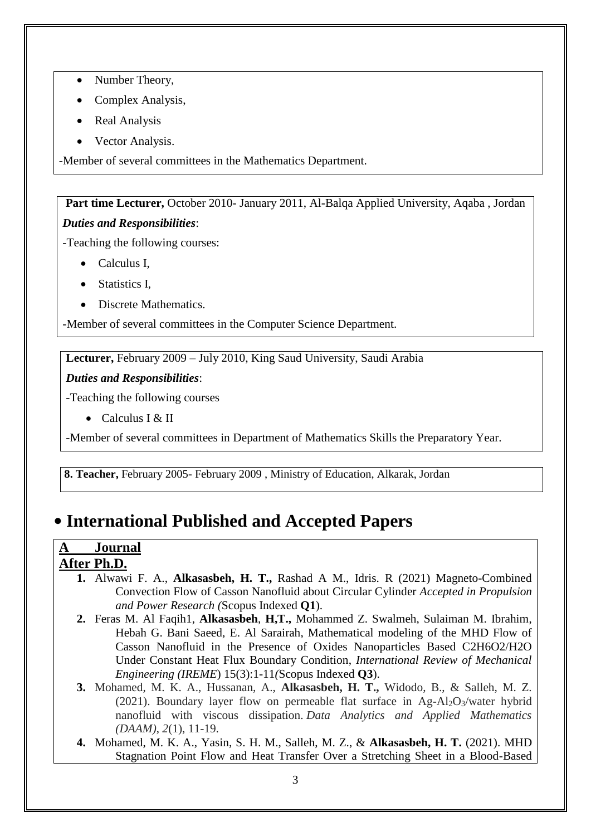- Number Theory,
- Complex Analysis,
- Real Analysis
- Vector Analysis.

-Member of several committees in the Mathematics Department.

**Part time Lecturer,** October 2010- January 2011, Al-Balqa Applied University, Aqaba , Jordan *Duties and Responsibilities*:

-Teaching the following courses:

- Calculus I,
- Statistics I.
- Discrete Mathematics.

-Member of several committees in the Computer Science Department.

**Lecturer,** February 2009 – July 2010, King Saud University, Saudi Arabia

### *Duties and Responsibilities*:

-Teaching the following courses

• Calculus I  $&$  II

-Member of several committees in Department of Mathematics Skills the Preparatory Year.

**8. Teacher,** February 2005- February 2009 , Ministry of Education, Alkarak, Jordan

# **International Published and Accepted Papers**

### **A Journal After Ph.D.**

- **1.** Alwawi F. A., **Alkasasbeh, H. T.,** Rashad A M., Idris. R (2021) Magneto-Combined Convection Flow of Casson Nanofluid about Circular Cylinder *Accepted in Propulsion and Power Research (*Scopus Indexed **Q1**).
- **2.** Feras M. Al Faqih1, **Alkasasbeh**, **H,T.,** Mohammed Z. Swalmeh, Sulaiman M. Ibrahim, Hebah G. Bani Saeed, E. Al Sarairah, Mathematical modeling of the MHD Flow of Casson Nanofluid in the Presence of Oxides Nanoparticles Based C2H6O2/H2O Under Constant Heat Flux Boundary Condition, *International Review of Mechanical Engineering (IREME*) 15(3):1-11*(*Scopus Indexed **Q3**).
- **3.** Mohamed, M. K. A., Hussanan, A., **Alkasasbeh, H. T.,** Widodo, B., & Salleh, M. Z. (2021). Boundary layer flow on permeable flat surface in Ag-Al2O3/water hybrid nanofluid with viscous dissipation. *Data Analytics and Applied Mathematics (DAAM)*, *2*(1), 11-19.
- **4.** Mohamed, M. K. A., Yasin, S. H. M., Salleh, M. Z., & **Alkasasbeh, H. T.** (2021). MHD Stagnation Point Flow and Heat Transfer Over a Stretching Sheet in a Blood-Based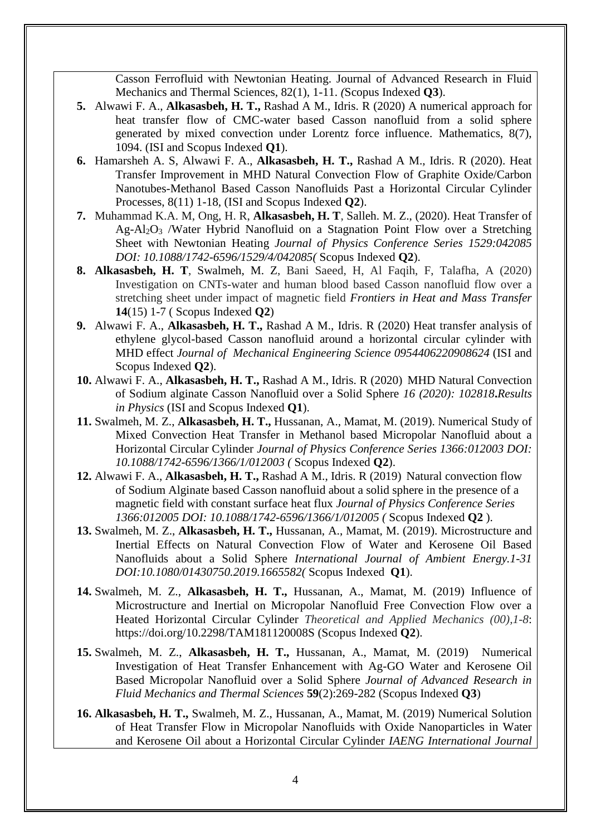Casson Ferrofluid with Newtonian Heating. Journal of Advanced Research in Fluid Mechanics and Thermal Sciences, 82(1), 1-11. *(*Scopus Indexed **Q3**).

- **5.** Alwawi F. A., **Alkasasbeh, H. T.,** Rashad A M., Idris. R (2020) A numerical approach for heat transfer flow of CMC-water based Casson nanofluid from a solid sphere generated by mixed convection under Lorentz force influence. Mathematics, 8(7), 1094. (ISI and Scopus Indexed **Q1**).
- **6.** Hamarsheh A. S, Alwawi F. A., **Alkasasbeh, H. T.,** Rashad A M., Idris. R (2020). Heat Transfer Improvement in MHD Natural Convection Flow of Graphite Oxide/Carbon Nanotubes-Methanol Based Casson Nanofluids Past a Horizontal Circular Cylinder Processes, 8(11) 1-18, (ISI and Scopus Indexed **Q2**).
- **7.** Muhammad K.A. M, Ong, H. R, **Alkasasbeh, H. T**, Salleh. M. Z., (2020). Heat Transfer of Ag-Al2O<sup>3</sup> /Water Hybrid Nanofluid on a Stagnation Point Flow over a Stretching Sheet with Newtonian Heating *Journal of Physics Conference Series 1529:042085 DOI: 10.1088/1742-6596/1529/4/042085(* Scopus Indexed **Q2**).
- **8. Alkasasbeh, H. T**, Swalmeh, M. Z, Bani Saeed, H, Al Faqih, F, Talafha, A (2020) Investigation on CNTs-water and human blood based Casson nanofluid flow over a stretching sheet under impact of magnetic field *Frontiers in Heat and Mass Transfer*  **14**(15) 1-7 ( Scopus Indexed **Q2**)
- **9.** Alwawi F. A., **Alkasasbeh, H. T.,** Rashad A M., Idris. R (2020) Heat transfer analysis of ethylene glycol-based Casson nanofluid around a horizontal circular cylinder with MHD effect *Journal of Mechanical Engineering Science 0954406220908624* (ISI and Scopus Indexed **Q2**).
- **10.** Alwawi F. A., **Alkasasbeh, H. T.,** Rashad A M., Idris. R (2020) MHD Natural Convection of Sodium alginate Casson Nanofluid over a Solid Sphere *16 (2020): 102818***.***Results in Physics* (ISI and Scopus Indexed **Q1**).
- **11.** Swalmeh, M. Z., **Alkasasbeh, H. T.,** Hussanan, A., Mamat, M. (2019). Numerical Study of Mixed Convection Heat Transfer in Methanol based Micropolar Nanofluid about a Horizontal Circular Cylinder *Journal of Physics Conference Series 1366:012003 DOI: 10.1088/1742-6596/1366/1/012003 (* Scopus Indexed **Q2**).
- **12.** Alwawi F. A., **Alkasasbeh, H. T.,** Rashad A M., Idris. R (2019) Natural convection flow of Sodium Alginate based Casson nanofluid about a solid sphere in the presence of a magnetic field with constant surface heat flux *Journal of Physics Conference Series 1366:012005 DOI: 10.1088/1742-6596/1366/1/012005 (* Scopus Indexed **Q2** ).
- **13.** Swalmeh, M. Z., **Alkasasbeh, H. T.,** Hussanan, A., Mamat, M. (2019). Microstructure and Inertial Effects on Natural Convection Flow of Water and Kerosene Oil Based Nanofluids about a Solid Sphere *International Journal of Ambient Energy.1-31 DOI:10.1080/01430750.2019.1665582(* Scopus Indexed **Q1**).
- **14.** Swalmeh, M. Z., **Alkasasbeh, H. T.,** Hussanan, A., Mamat, M. (2019) Influence of Microstructure and Inertial on Micropolar Nanofluid Free Convection Flow over a Heated Horizontal Circular Cylinder *Theoretical and Applied Mechanics (00),1-8*: https://doi.org/10.2298/TAM181120008S (Scopus Indexed **Q2**).
- **15.** Swalmeh, M. Z., **Alkasasbeh, H. T.,** Hussanan, A., Mamat, M. (2019) Numerical Investigation of Heat Transfer Enhancement with Ag-GO Water and Kerosene Oil Based Micropolar Nanofluid over a Solid Sphere *Journal of Advanced Research in Fluid Mechanics and Thermal Sciences* **59**(2):269-282 (Scopus Indexed **Q3**)
- **16. Alkasasbeh, H. T.,** Swalmeh, M. Z., Hussanan, A., Mamat, M. (2019) Numerical Solution of Heat Transfer Flow in Micropolar Nanofluids with Oxide Nanoparticles in Water and Kerosene Oil about a Horizontal Circular Cylinder *IAENG International Journal*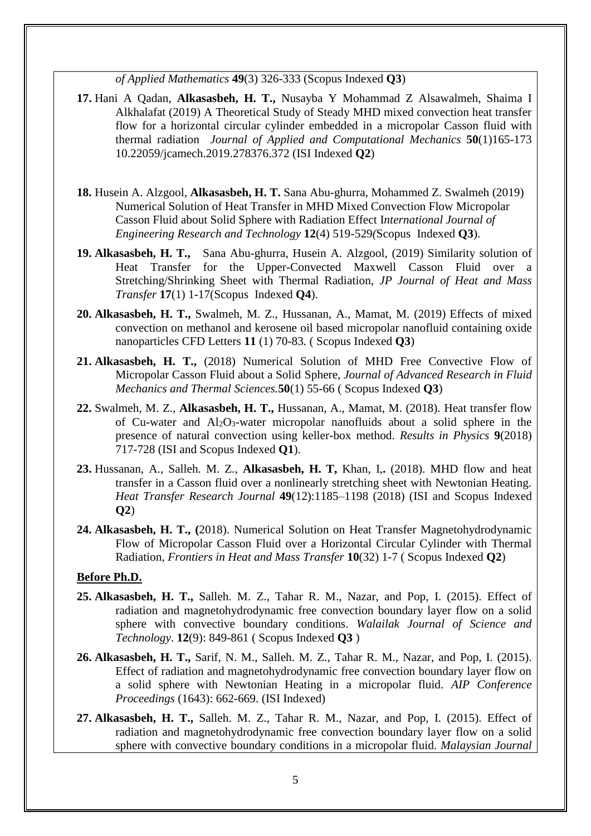*of Applied Mathematics* **49**(3) 326-333 (Scopus Indexed **Q3**)

- **17.** Hani A Qadan, **Alkasasbeh, H. T.,** Nusayba Y Mohammad Z Alsawalmeh, Shaima I Alkhalafat (2019) A Theoretical Study of Steady MHD mixed convection heat transfer flow for a horizontal circular cylinder embedded in a micropolar Casson fluid with thermal radiation *Journal of Applied and Computational Mechanics* **50**(1)165-173 10.22059/jcamech.2019.278376.372 (ISI Indexed **Q2**)
- **18.** Husein A. Alzgool, **Alkasasbeh, H. T.** Sana Abu-ghurra, Mohammed Z. Swalmeh (2019) Numerical Solution of Heat Transfer in MHD Mixed Convection Flow Micropolar Casson Fluid about Solid Sphere with Radiation Effect I*nternational Journal of Engineering Research and Technology* **12**(4) 519-529*(*Scopus Indexed **Q3**).
- **19. Alkasasbeh, H. T.,** Sana Abu-ghurra, Husein A. Alzgool, (2019) Similarity solution of Heat Transfer for the Upper-Convected Maxwell Casson Fluid over a Stretching/Shrinking Sheet with Thermal Radiation, *JP Journal of Heat and Mass Transfer* **17**(1) 1-17(Scopus Indexed **Q4**).
- **20. Alkasasbeh, H. T.,** Swalmeh, M. Z., Hussanan, A., Mamat, M. (2019) Effects of mixed convection on methanol and kerosene oil based micropolar nanofluid containing oxide nanoparticles CFD Letters **11** (1) 70-83*.* ( Scopus Indexed **Q3**)
- **21. Alkasasbeh, H. T.,** (2018) Numerical Solution of MHD Free Convective Flow of Micropolar Casson Fluid about a Solid Sphere, *Journal of Advanced Research in Fluid Mechanics and Thermal Sciences.***50**(1) 55-66 ( Scopus Indexed **Q3**)
- **22.** Swalmeh, M. Z., **Alkasasbeh, H. T.,** Hussanan, A., Mamat, M. (2018). Heat transfer flow of Cu-water and  $Al_2O_3$ -water micropolar nanofluids about a solid sphere in the presence of natural convection using keller-box method. *Results in Physics* **9**(2018) 717-728 (ISI and Scopus Indexed **Q1**).
- **23.** Hussanan, A., Salleh. M. Z., **Alkasasbeh, H. T,** Khan, I,**.** (2018). MHD flow and heat transfer in a Casson fluid over a nonlinearly stretching sheet with Newtonian Heating. *Heat Transfer Research Journal* **49**(12):1185–1198 (2018) (ISI and Scopus Indexed **Q2**)
- **24. Alkasasbeh, H. T., (**2018). Numerical Solution on Heat Transfer Magnetohydrodynamic Flow of Micropolar Casson Fluid over a Horizontal Circular Cylinder with Thermal Radiation, *Frontiers in Heat and Mass Transfer* **10**(32) 1-7 ( Scopus Indexed **Q2**)

#### **Before Ph.D.**

- **25. Alkasasbeh, H. T.,** Salleh. M. Z., Tahar R. M., Nazar, and Pop, I. (2015). Effect of radiation and magnetohydrodynamic free convection boundary layer flow on a solid sphere with convective boundary conditions. *Walailak Journal of Science and Technology*. **12**(9): 849-861 ( Scopus Indexed **Q3** )
- **26. Alkasasbeh, H. T.,** Sarif, N. M., Salleh. M. Z., Tahar R. M., Nazar, and Pop, I. (2015). Effect of radiation and magnetohydrodynamic free convection boundary layer flow on a solid sphere with Newtonian Heating in a micropolar fluid. *AIP Conference Proceedings* (1643): 662-669. (ISI Indexed)
- **27. Alkasasbeh, H. T.,** Salleh. M. Z., Tahar R. M., Nazar, and Pop, I. (2015). Effect of radiation and magnetohydrodynamic free convection boundary layer flow on a solid sphere with convective boundary conditions in a micropolar fluid. *Malaysian Journal*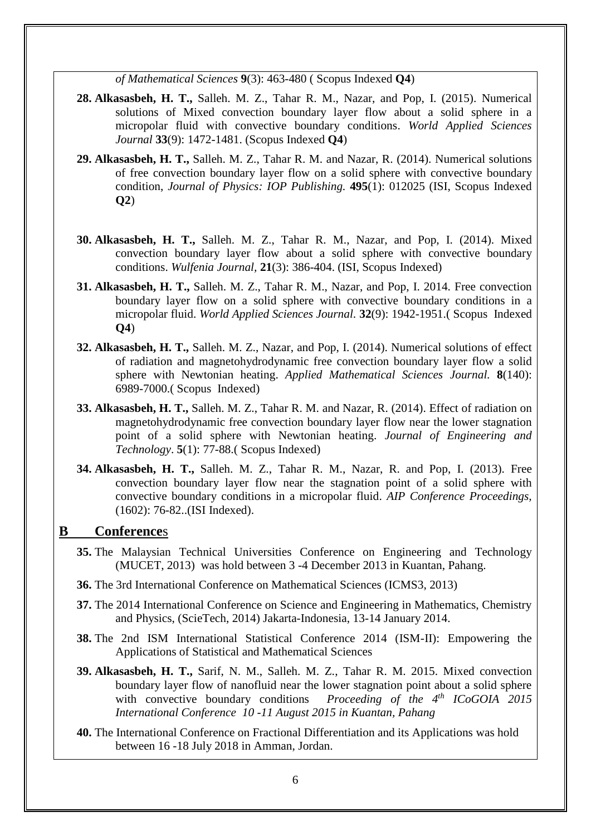*of Mathematical Sciences* **9**(3): 463-480 ( Scopus Indexed **Q4**)

- **28. Alkasasbeh, H. T.,** Salleh. M. Z., Tahar R. M., Nazar, and Pop, I. (2015). Numerical solutions of Mixed convection boundary layer flow about a solid sphere in a micropolar fluid with convective boundary conditions. *World Applied Sciences Journal* **33**(9): 1472-1481. (Scopus Indexed **Q4**)
- **29. Alkasasbeh, H. T.,** Salleh. M. Z., Tahar R. M. and Nazar, R. (2014). Numerical solutions of free convection boundary layer flow on a solid sphere with convective boundary condition, *Journal of Physics: IOP Publishing.* **495**(1): 012025 (ISI, Scopus Indexed **Q2**)
- **30. Alkasasbeh, H. T.,** Salleh. M. Z., Tahar R. M., Nazar, and Pop, I. (2014). Mixed convection boundary layer flow about a solid sphere with convective boundary conditions. *Wulfenia Journal,* **21**(3): 386-404. (ISI, Scopus Indexed)
- **31. Alkasasbeh, H. T.,** Salleh. M. Z., Tahar R. M., Nazar, and Pop, I. 2014. Free convection boundary layer flow on a solid sphere with convective boundary conditions in a micropolar fluid. *World Applied Sciences Journal.* **32**(9): 1942-1951.( Scopus Indexed **Q4**)
- **32. Alkasasbeh, H. T.,** Salleh. M. Z., Nazar, and Pop, I. (2014). Numerical solutions of effect of radiation and magnetohydrodynamic free convection boundary layer flow a solid sphere with Newtonian heating. *Applied Mathematical Sciences Journal.* **8**(140): 6989-7000.( Scopus Indexed)
- **33. Alkasasbeh, H. T.,** Salleh. M. Z., Tahar R. M. and Nazar, R. (2014). Effect of radiation on magnetohydrodynamic free convection boundary layer flow near the lower stagnation point of a solid sphere with Newtonian heating. *Journal of Engineering and Technology*. **5**(1): 77-88.( Scopus Indexed)
- **34. Alkasasbeh, H. T.,** Salleh. M. Z., Tahar R. M., Nazar, R. and Pop, I. (2013). Free convection boundary layer flow near the stagnation point of a solid sphere with convective boundary conditions in a micropolar fluid. *AIP Conference Proceedings,* (1602): 76-82..(ISI Indexed).

#### **B Conference**s

- **35.** The Malaysian Technical Universities Conference on Engineering and Technology (MUCET, 2013) was hold between 3 -4 December 2013 in Kuantan, Pahang.
- **36.** The 3rd International Conference on Mathematical Sciences (ICMS3, 2013)
- **37.** The 2014 International Conference on Science and Engineering in Mathematics, Chemistry and Physics, (ScieTech, 2014) Jakarta-Indonesia, 13-14 January 2014.
- **38.** The 2nd ISM International Statistical Conference 2014 (ISM-II): Empowering the Applications of Statistical and Mathematical Sciences
- **39. Alkasasbeh, H. T.,** Sarif, N. M., Salleh. M. Z., Tahar R. M. 2015. Mixed convection boundary layer flow of nanofluid near the lower stagnation point about a solid sphere with convective boundary conditions *Proceeding of the 4<sup>th</sup> ICoGOIA* 2015 *International Conference 10 -11 August 2015 in Kuantan, Pahang*
- **40.** The International Conference on Fractional Differentiation and its Applications was hold between 16 -18 July 2018 in Amman, Jordan.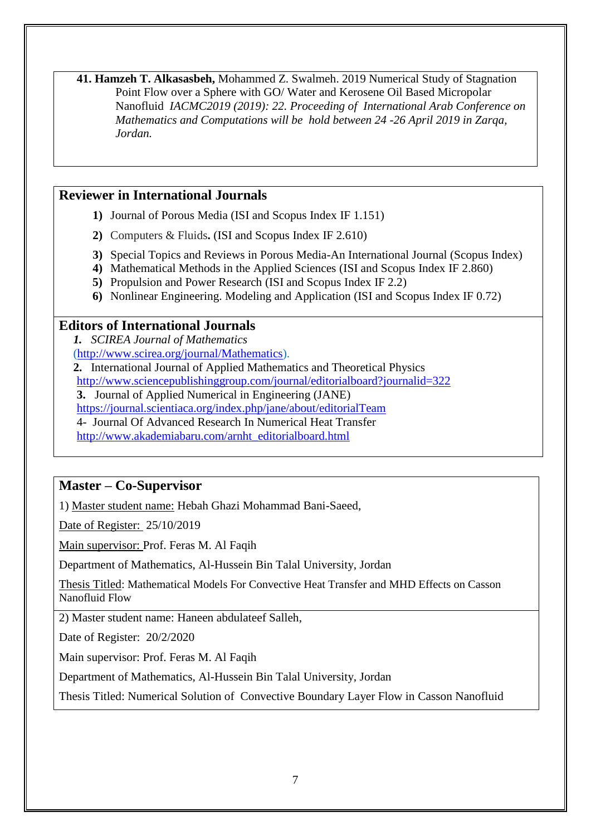**41. Hamzeh T. Alkasasbeh,** Mohammed Z. Swalmeh. 2019 Numerical Study of Stagnation Point Flow over a Sphere with GO/ Water and Kerosene Oil Based Micropolar Nanofluid *IACMC2019 (2019): 22. Proceeding of International Arab Conference on Mathematics and Computations will be hold between 24 -26 April 2019 in Zarqa, Jordan.*

### **Reviewer in International Journals**

- **1)** Journal of Porous Media (ISI and Scopus Index IF 1.151)
- **2)** Computers & Fluids**.** (ISI and Scopus Index IF 2.610)
- **3)** Special Topics and Reviews in Porous Media-An International Journal (Scopus Index)
- **4)** Mathematical Methods in the Applied Sciences (ISI and Scopus Index IF 2.860)
- **5)** Propulsion and Power Research (ISI and Scopus Index IF 2.2)
- **6)** Nonlinear Engineering. Modeling and Application (ISI and Scopus Index IF 0.72)

### **Editors of International Journals**

*1. SCIREA Journal of Mathematics*  [\(http://www.scirea.org/journal/Mathematics\)](http://www.scirea.org/journal/Mathematics).

- **2.** International Journal of Applied Mathematics and Theoretical Physics
- <http://www.sciencepublishinggroup.com/journal/editorialboard?journalid=322>

**3.** Journal of Applied Numerical in Engineering (JANE)

<https://journal.scientiaca.org/index.php/jane/about/editorialTeam>

4- Journal Of Advanced Research In Numerical Heat Transfer

[http://www.akademiabaru.com/arnht\\_editorialboard.html](http://www.akademiabaru.com/arnht_editorialboard.html)

### **Master – Co-Supervisor**

1) Master student name: Hebah Ghazi Mohammad Bani-Saeed,

Date of Register: 25/10/2019

Main supervisor: Prof. Feras M. Al Faqih

Department of Mathematics, Al-Hussein Bin Talal University, Jordan

Thesis Titled: Mathematical Models For Convective Heat Transfer and MHD Effects on Casson Nanofluid Flow

2) Master student name: Haneen abdulateef Salleh,

Date of Register: 20/2/2020

Main supervisor: Prof. Feras M. Al Faqih

Department of Mathematics, Al-Hussein Bin Talal University, Jordan

Thesis Titled: Numerical Solution of Convective Boundary Layer Flow in Casson Nanofluid